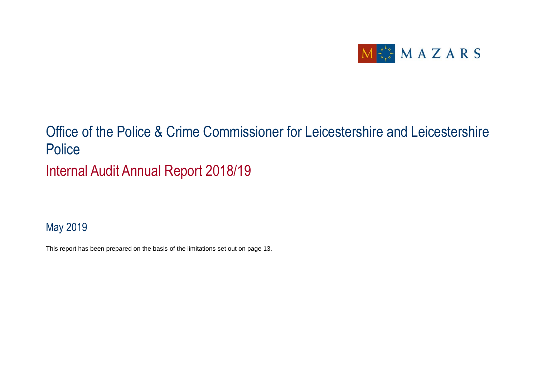

## Office of the Police & Crime Commissioner for Leicestershire and Leicestershire **Police** Internal Audit Annual Report 2018/19

### May 2019

This report has been prepared on the basis of the limitations set out on page 13.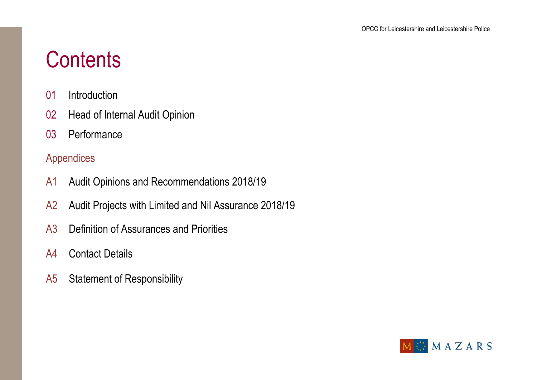# **Contents**

- 01 Introduction
- 02 Head of Internal Audit Opinion
- 03 Performance

### Appendices

- A1 Audit Opinions and Recommendations 2018/19
- A2 Audit Projects with Limited and Nil Assurance 2018/19
- A3 Definition of Assurances and Priorities
- A4 Contact Details
- A5 Statement of Responsibility

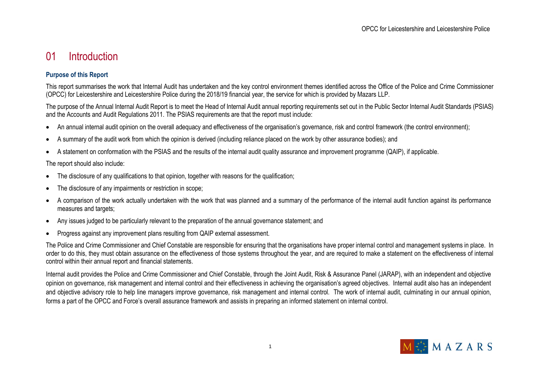### 01 Introduction

#### **Purpose of this Report**

This report summarises the work that Internal Audit has undertaken and the key control environment themes identified across the Office of the Police and Crime Commissioner (OPCC) for Leicestershire and Leicestershire Police during the 2018/19 financial year, the service for which is provided by Mazars LLP.

The purpose of the Annual Internal Audit Report is to meet the Head of Internal Audit annual reporting requirements set out in the Public Sector Internal Audit Standards (PSIAS) and the Accounts and Audit Regulations 2011. The PSIAS requirements are that the report must include:

- An annual internal audit opinion on the overall adequacy and effectiveness of the organisation's governance, risk and control framework (the control environment);
- A summary of the audit work from which the opinion is derived (including reliance placed on the work by other assurance bodies); and
- A statement on conformation with the PSIAS and the results of the internal audit quality assurance and improvement programme (QAIP), if applicable.

The report should also include:

- The disclosure of any qualifications to that opinion, together with reasons for the qualification;
- The disclosure of any impairments or restriction in scope;
- A comparison of the work actually undertaken with the work that was planned and a summary of the performance of the internal audit function against its performance measures and targets;
- Any issues judged to be particularly relevant to the preparation of the annual governance statement; and
- Progress against any improvement plans resulting from QAIP external assessment.

The Police and Crime Commissioner and Chief Constable are responsible for ensuring that the organisations have proper internal control and management systems in place. In order to do this, they must obtain assurance on the effectiveness of those systems throughout the year, and are required to make a statement on the effectiveness of internal control within their annual report and financial statements.

Internal audit provides the Police and Crime Commissioner and Chief Constable, through the Joint Audit, Risk & Assurance Panel (JARAP), with an independent and objective opinion on governance, risk management and internal control and their effectiveness in achieving the organisation's agreed objectives. Internal audit also has an independent and objective advisory role to help line managers improve governance, risk management and internal control. The work of internal audit, culminating in our annual opinion, forms a part of the OPCC and Force's overall assurance framework and assists in preparing an informed statement on internal control.

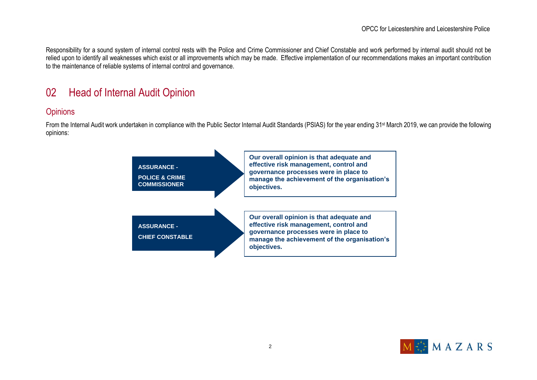Responsibility for a sound system of internal control rests with the Police and Crime Commissioner and Chief Constable and work performed by internal audit should not be relied upon to identify all weaknesses which exist or all improvements which may be made. Effective implementation of our recommendations makes an important contribution to the maintenance of reliable systems of internal control and governance.

### 02 Head of Internal Audit Opinion

#### **Opinions**

From the Internal Audit work undertaken in compliance with the Public Sector Internal Audit Standards (PSIAS) for the year ending 31st March 2019, we can provide the following opinions:



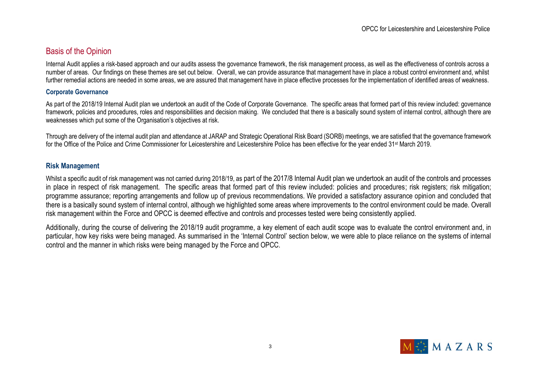#### Basis of the Opinion

Internal Audit applies a risk-based approach and our audits assess the governance framework, the risk management process, as well as the effectiveness of controls across a number of areas. Our findings on these themes are set out below. Overall, we can provide assurance that management have in place a robust control environment and, whilst further remedial actions are needed in some areas, we are assured that management have in place effective processes for the implementation of identified areas of weakness.

#### **Corporate Governance**

As part of the 2018/19 Internal Audit plan we undertook an audit of the Code of Corporate Governance. The specific areas that formed part of this review included: governance framework, policies and procedures, roles and responsibilities and decision making. We concluded that there is a basically sound system of internal control, although there are weaknesses which put some of the Organisation's objectives at risk.

Through are delivery of the internal audit plan and attendance at JARAP and Strategic Operational Risk Board (SORB) meetings, we are satisfied that the governance framework for the Office of the Police and Crime Commissioner for Leicestershire and Leicestershire Police has been effective for the year ended 31st March 2019.

#### **Risk Management**

Whilst a specific audit of risk management was not carried during 2018/19, as part of the 2017/8 Internal Audit plan we undertook an audit of the controls and processes in place in respect of risk management. The specific areas that formed part of this review included: policies and procedures; risk registers; risk mitigation; programme assurance; reporting arrangements and follow up of previous recommendations. We provided a satisfactory assurance opinion and concluded that there is a basically sound system of internal control, although we highlighted some areas where improvements to the control environment could be made. Overall risk management within the Force and OPCC is deemed effective and controls and processes tested were being consistently applied.

Additionally, during the course of delivering the 2018/19 audit programme, a key element of each audit scope was to evaluate the control environment and, in particular, how key risks were being managed. As summarised in the 'Internal Control' section below, we were able to place reliance on the systems of internal control and the manner in which risks were being managed by the Force and OPCC.

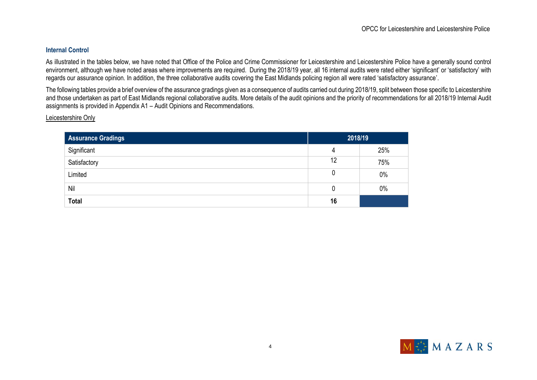#### **Internal Control**

As illustrated in the tables below, we have noted that Office of the Police and Crime Commissioner for Leicestershire and Leicestershire Police have a generally sound control environment, although we have noted areas where improvements are required. During the 2018/19 year, all 16 internal audits were rated either 'significant' or 'satisfactory' with regards our assurance opinion. In addition, the three collaborative audits covering the East Midlands policing region all were rated 'satisfactory assurance'.

The following tables provide a brief overview of the assurance gradings given as a consequence of audits carried out during 2018/19, split between those specific to Leicestershire and those undertaken as part of East Midlands regional collaborative audits. More details of the audit opinions and the priority of recommendations for all 2018/19 Internal Audit assignments is provided in Appendix A1 – Audit Opinions and Recommendations.

Leicestershire Only

| <b>Assurance Gradings</b> | 2018/19 |       |
|---------------------------|---------|-------|
| Significant               | 4       | 25%   |
| Satisfactory              | 12      | 75%   |
| Limited                   | 0       | $0\%$ |
| Nil                       | 0       | $0\%$ |
| <b>Total</b>              | 16      |       |

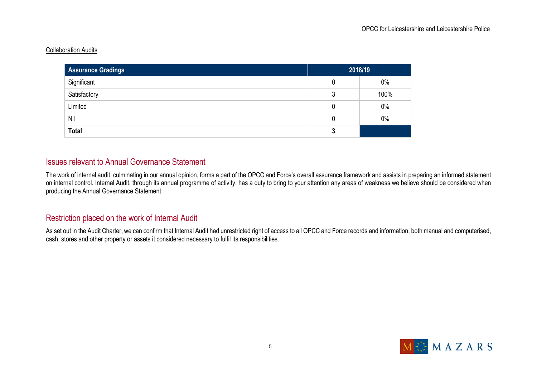#### Collaboration Audits

| Assurance Gradings | 2018/19 |       |
|--------------------|---------|-------|
| Significant        | U       | $0\%$ |
| Satisfactory       | 3       | 100%  |
| Limited            | 0       | $0\%$ |
| Nil                | 0       | $0\%$ |
| <b>Total</b>       | 3       |       |

#### Issues relevant to Annual Governance Statement

The work of internal audit, culminating in our annual opinion, forms a part of the OPCC and Force's overall assurance framework and assists in preparing an informed statement on internal control. Internal Audit, through its annual programme of activity, has a duty to bring to your attention any areas of weakness we believe should be considered when producing the Annual Governance Statement.

#### Restriction placed on the work of Internal Audit

As set out in the Audit Charter, we can confirm that Internal Audit had unrestricted right of access to all OPCC and Force records and information, both manual and computerised, cash, stores and other property or assets it considered necessary to fulfil its responsibilities.

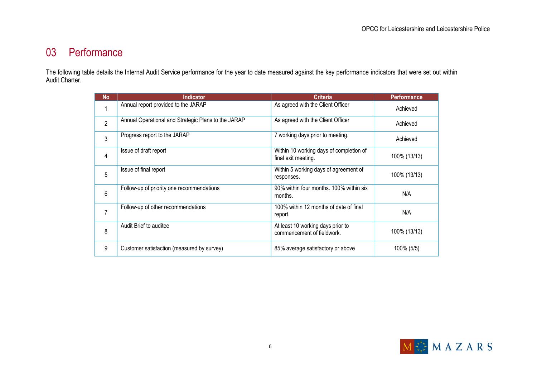### 03 Performance

The following table details the Internal Audit Service performance for the year to date measured against the key performance indicators that were set out within Audit Charter.

| <b>No</b>      | <b>Indicator</b>                                    | <b>Criteria</b>                                                 | <b>Performance</b> |
|----------------|-----------------------------------------------------|-----------------------------------------------------------------|--------------------|
| 1              | Annual report provided to the JARAP                 | As agreed with the Client Officer                               | Achieved           |
| $\overline{2}$ | Annual Operational and Strategic Plans to the JARAP | As agreed with the Client Officer                               | Achieved           |
| 3              | Progress report to the JARAP                        | 7 working days prior to meeting.                                | Achieved           |
| 4              | Issue of draft report                               | Within 10 working days of completion of<br>final exit meeting.  | 100% (13/13)       |
| 5              | Issue of final report                               | Within 5 working days of agreement of<br>responses.             | 100% (13/13)       |
| 6              | Follow-up of priority one recommendations           | 90% within four months. 100% within six<br>months.              | N/A                |
| 7              | Follow-up of other recommendations                  | 100% within 12 months of date of final<br>report.               | N/A                |
| 8              | Audit Brief to auditee                              | At least 10 working days prior to<br>commencement of fieldwork. | 100% (13/13)       |
| 9              | Customer satisfaction (measured by survey)          | 85% average satisfactory or above                               | 100% (5/5)         |

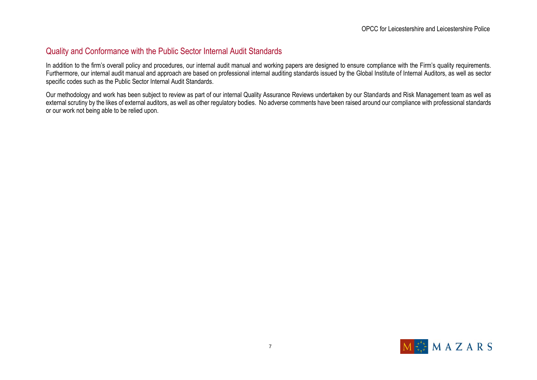#### Quality and Conformance with the Public Sector Internal Audit Standards

In addition to the firm's overall policy and procedures, our internal audit manual and working papers are designed to ensure compliance with the Firm's quality requirements. Furthermore, our internal audit manual and approach are based on professional internal auditing standards issued by the Global Institute of Internal Auditors, as well as sector specific codes such as the Public Sector Internal Audit Standards.

Our methodology and work has been subject to review as part of our internal Quality Assurance Reviews undertaken by our Standards and Risk Management team as well as external scrutiny by the likes of external auditors, as well as other regulatory bodies. No adverse comments have been raised around our compliance with professional standards or our work not being able to be relied upon.

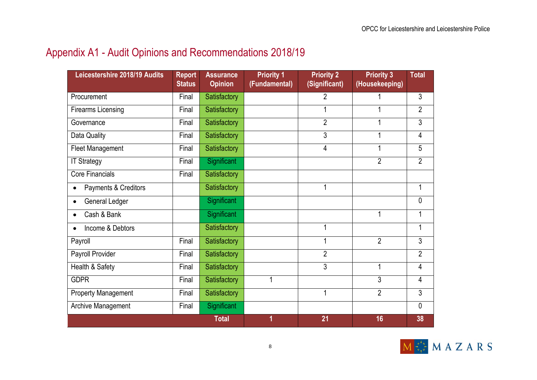### Appendix A1 - Audit Opinions and Recommendations 2018/19

| Leicestershire 2018/19 Audits     | <b>Report</b><br><b>Status</b> | <b>Assurance</b><br><b>Opinion</b> | <b>Priority 1</b><br>(Fundamental) | <b>Priority 2</b><br>(Significant) | <b>Priority 3</b><br>(Housekeeping) | <b>Total</b>   |
|-----------------------------------|--------------------------------|------------------------------------|------------------------------------|------------------------------------|-------------------------------------|----------------|
| Procurement                       | Final                          | Satisfactory                       |                                    | $\overline{2}$                     |                                     | $\mathfrak{Z}$ |
| <b>Firearms Licensing</b>         | Final                          | Satisfactory                       |                                    |                                    |                                     | $\overline{2}$ |
| Governance                        | Final                          | Satisfactory                       |                                    | $\overline{2}$                     | 1                                   | $\overline{3}$ |
| Data Quality                      | Final                          | Satisfactory                       |                                    | 3                                  | 1                                   | 4              |
| Fleet Management                  | Final                          | <b>Satisfactory</b>                |                                    | 4                                  | 1                                   | $\overline{5}$ |
| <b>IT Strategy</b>                | Final                          | Significant                        |                                    |                                    | $\overline{2}$                      | $\overline{2}$ |
| <b>Core Financials</b>            | Final                          | Satisfactory                       |                                    |                                    |                                     |                |
| Payments & Creditors<br>$\bullet$ |                                | Satisfactory                       |                                    | 1                                  |                                     | 1              |
| General Ledger<br>$\bullet$       |                                | Significant                        |                                    |                                    |                                     | $\mathbf 0$    |
| Cash & Bank<br>$\bullet$          |                                | Significant                        |                                    |                                    | 1                                   | 1              |
| Income & Debtors                  |                                | <b>Satisfactory</b>                |                                    | 1                                  |                                     | 1              |
| Payroll                           | Final                          | <b>Satisfactory</b>                |                                    | 1                                  | $\overline{2}$                      | $\mathfrak{Z}$ |
| Payroll Provider                  | Final                          | Satisfactory                       |                                    | $\overline{2}$                     |                                     | $\overline{2}$ |
| Health & Safety                   | Final                          | Satisfactory                       |                                    | 3                                  | 1                                   | 4              |
| <b>GDPR</b>                       | Final                          | Satisfactory                       | $\mathbf 1$                        |                                    | 3                                   | $\overline{4}$ |
| <b>Property Management</b>        | Final                          | Satisfactory                       |                                    | 1                                  | $\overline{2}$                      | $\mathfrak{Z}$ |
| <b>Archive Management</b>         | Final                          | Significant                        |                                    |                                    |                                     | 0              |
|                                   |                                | <b>Total</b>                       | 1                                  | 21                                 | 16                                  | 38             |

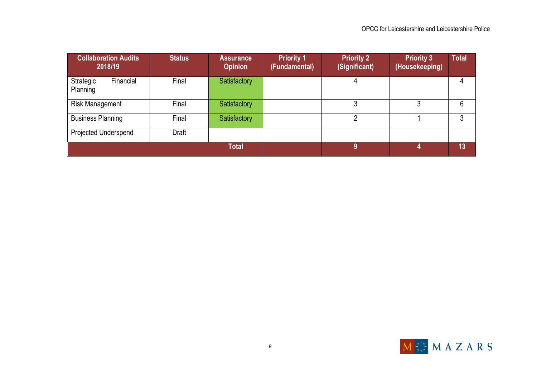| <b>Collaboration Audits</b><br>2018/19 | <b>Status</b> | <b>Assurance</b><br><b>Opinion</b> | <b>Priority 1</b><br>(Fundamental) | <b>Priority 2</b><br>(Significant) | <b>Priority 3</b><br>(Housekeeping) | <b>Total</b> |
|----------------------------------------|---------------|------------------------------------|------------------------------------|------------------------------------|-------------------------------------|--------------|
| Strategic<br>Financial<br>Planning     | Final         | Satisfactory                       |                                    | 4                                  |                                     |              |
| <b>Risk Management</b>                 | Final         | Satisfactory                       |                                    |                                    |                                     | 6            |
| <b>Business Planning</b>               | Final         | Satisfactory                       |                                    |                                    |                                     |              |
| Projected Underspend                   | Draft         |                                    |                                    |                                    |                                     |              |
|                                        |               | <b>Total</b>                       |                                    | 9                                  |                                     | 13           |

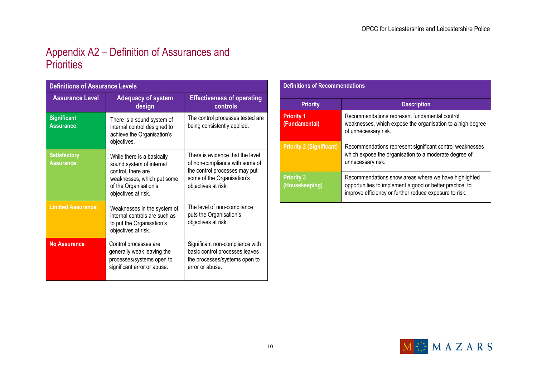### Appendix A2 – Definition of Assurances and **Priorities**

| <b>Definitions of Assurance Levels</b>   |                                                                                                                                                            |                                                                                                                                                          |  |  |
|------------------------------------------|------------------------------------------------------------------------------------------------------------------------------------------------------------|----------------------------------------------------------------------------------------------------------------------------------------------------------|--|--|
| <b>Assurance Level</b>                   | <b>Adequacy of system</b><br>design                                                                                                                        | <b>Effectiveness of operating</b><br>controls                                                                                                            |  |  |
| <b>Significant</b><br><b>Assurance:</b>  | There is a sound system of<br>internal control designed to<br>achieve the Organisation's<br>objectives.                                                    | The control processes tested are<br>being consistently applied.                                                                                          |  |  |
| <b>Satisfactory</b><br><b>Assurance:</b> | While there is a basically<br>sound system of internal<br>control, there are<br>weaknesses, which put some<br>of the Organisation's<br>objectives at risk. | There is evidence that the level<br>of non-compliance with some of<br>the control processes may put<br>some of the Organisation's<br>objectives at risk. |  |  |
| <b>Limited Assurance:</b>                | Weaknesses in the system of<br>internal controls are such as<br>to put the Organisation's<br>objectives at risk.                                           | The level of non-compliance<br>puts the Organisation's<br>objectives at risk.                                                                            |  |  |
| <b>No Assurance</b>                      | Control processes are<br>generally weak leaving the<br>processes/systems open to<br>significant error or abuse.                                            | Significant non-compliance with<br>basic control processes leaves<br>the processes/systems open to<br>error or abuse.                                    |  |  |

| <b>Definitions of Recommendations</b> |                                                                                                                                                                            |  |  |
|---------------------------------------|----------------------------------------------------------------------------------------------------------------------------------------------------------------------------|--|--|
| <b>Priority</b>                       | <b>Description</b>                                                                                                                                                         |  |  |
| <b>Priority 1</b><br>(Fundamental)    | Recommendations represent fundamental control<br>weaknesses, which expose the organisation to a high degree<br>of unnecessary risk.                                        |  |  |
| <b>Priority 2 (Significant)</b>       | Recommendations represent significant control weaknesses<br>which expose the organisation to a moderate degree of<br>unnecessary risk.                                     |  |  |
| <b>Priority 3</b><br>(Housekeeping)   | Recommendations show areas where we have highlighted<br>opportunities to implement a good or better practice, to<br>improve efficiency or further reduce exposure to risk. |  |  |

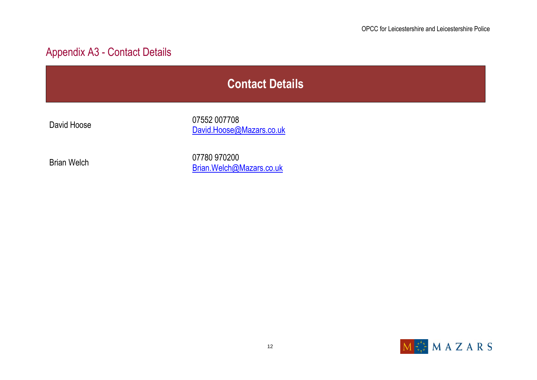### Appendix A3 - Contact Details

David Hoose 07552 007708 [David.Hoose@Mazars.co.uk](mailto:Mike.Clarkson@Mazars.co.uk)

Brian Welch 07780 970200 [Brian.Welch@Mazars.co.uk](mailto:Brian.Welch@Mazars.co.uk)